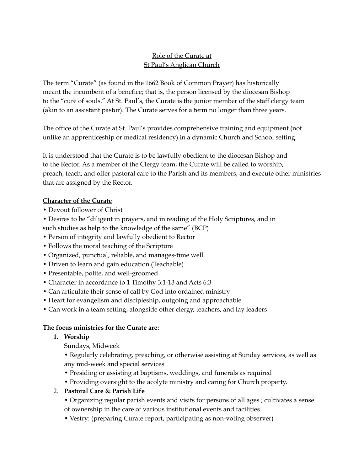# Role of the Curate at St Paul's Anglican Church

The term "Curate" (as found in the 1662 Book of Common Prayer) has historically meant the incumbent of a benefice; that is, the person licensed by the diocesan Bishop to the "cure of souls." At St. Paul's, the Curate is the junior member of the staff clergy team (akin to an assistant pastor). The Curate serves for a term no longer than three years.

The office of the Curate at St. Paul's provides comprehensive training and equipment (not unlike an apprenticeship or medical residency) in a dynamic Church and School setting.

It is understood that the Curate is to be lawfully obedient to the diocesan Bishop and to the Rector. As a member of the Clergy team, the Curate will be called to worship, preach, teach, and offer pastoral care to the Parish and its members, and execute other ministries that are assigned by the Rector.

### **Character of the Curate**

- Devout follower of Christ
- Desires to be "diligent in prayers, and in reading of the Holy Scriptures, and in such studies as help to the knowledge of the same" (BCP)
- Person of integrity and lawfully obedient to Rector
- Follows the moral teaching of the Scripture
- Organized, punctual, reliable, and manages-time well.
- Driven to learn and gain education (Teachable)
- Presentable, polite, and well-groomed
- Character in accordance to 1 Timothy 3:1-13 and Acts 6:3
- Can articulate their sense of call by God into ordained ministry
- Heart for evangelism and discipleship, outgoing and approachable
- Can work in a team setting, alongside other clergy, teachers, and lay leaders

### **The focus ministries for the Curate are:**

**1. Worship**

### Sundays, Midweek

• Regularly celebrating, preaching, or otherwise assisting at Sunday services, as well as any mid-week and special services

- Presiding or assisting at baptisms, weddings, and funerals as required
- Providing oversight to the acolyte ministry and caring for Church property.
- 2. **Pastoral Care & Parish Life**
	- Organizing regular parish events and visits for persons of all ages ; cultivates a sense of ownership in the care of various institutional events and facilities.
	- Vestry: (preparing Curate report, participating as non-voting observer)